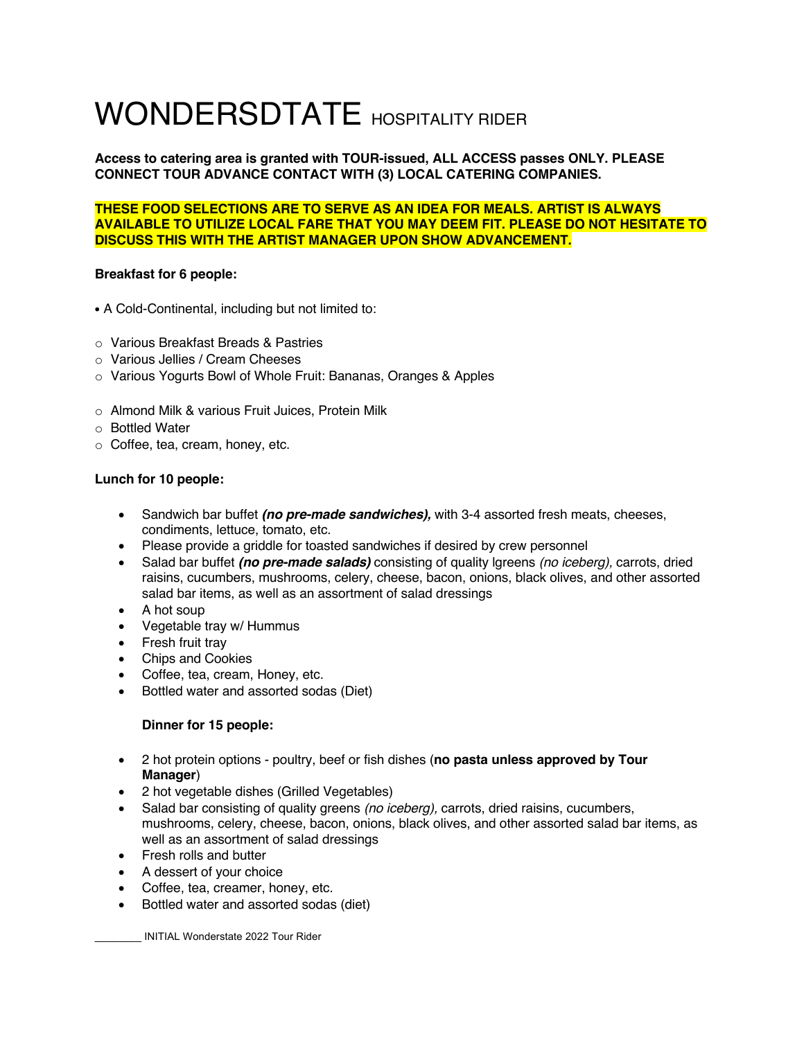# WONDERSDTATE HOSPITALITY RIDER

**Access to catering area is granted with TOUR-issued, ALL ACCESS passes ONLY. PLEASE CONNECT TOUR ADVANCE CONTACT WITH (3) LOCAL CATERING COMPANIES.** 

## **THESE FOOD SELECTIONS ARE TO SERVE AS AN IDEA FOR MEALS. ARTIST IS ALWAYS AVAILABLE TO UTILIZE LOCAL FARE THAT YOU MAY DEEM FIT. PLEASE DO NOT HESITATE TO DISCUSS THIS WITH THE ARTIST MANAGER UPON SHOW ADVANCEMENT.**

# **Breakfast for 6 people:**

- A Cold-Continental, including but not limited to:
- o Various Breakfast Breads & Pastries
- o Various Jellies / Cream Cheeses
- o Various Yogurts Bowl of Whole Fruit: Bananas, Oranges & Apples
- o Almond Milk & various Fruit Juices, Protein Milk
- o Bottled Water
- o Coffee, tea, cream, honey, etc.

## **Lunch for 10 people:**

- Sandwich bar buffet *(no pre-made sandwiches),* with 3-4 assorted fresh meats, cheeses, condiments, lettuce, tomato, etc.
- Please provide a griddle for toasted sandwiches if desired by crew personnel
- Salad bar buffet *(no pre-made salads)* consisting of quality lgreens *(no iceberg),* carrots, dried raisins, cucumbers, mushrooms, celery, cheese, bacon, onions, black olives, and other assorted salad bar items, as well as an assortment of salad dressings
- A hot soup
- Vegetable tray w/ Hummus
- Fresh fruit tray
- Chips and Cookies
- Coffee, tea, cream, Honey, etc.
- Bottled water and assorted sodas (Diet)

## **Dinner for 15 people:**

- 2 hot protein options poultry, beef or fish dishes (**no pasta unless approved by Tour Manager**)
- 2 hot vegetable dishes (Grilled Vegetables)
- Salad bar consisting of quality greens *(no iceberg),* carrots, dried raisins, cucumbers, mushrooms, celery, cheese, bacon, onions, black olives, and other assorted salad bar items, as well as an assortment of salad dressings
- Fresh rolls and butter
- A dessert of your choice
- Coffee, tea, creamer, honey, etc.
- Bottled water and assorted sodas (diet)